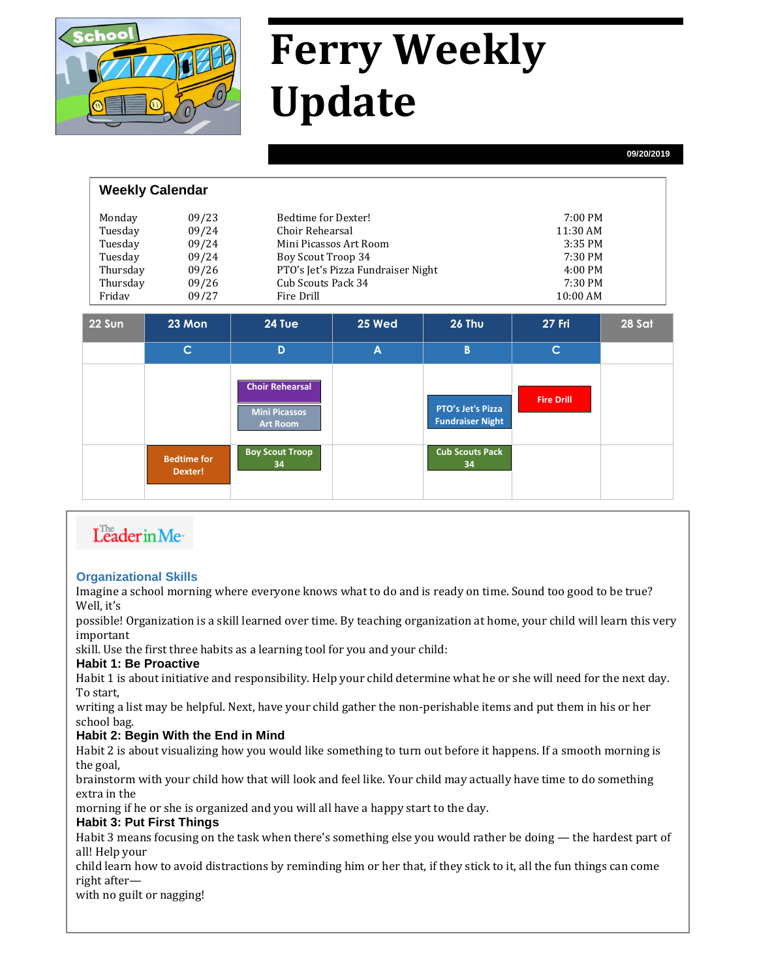

# **Ferry Weekly Update**

**09/20/2019**

| <b>Weekly Calendar</b> |       |                                    |                   |  |  |  |
|------------------------|-------|------------------------------------|-------------------|--|--|--|
| Monday                 | 09/23 | Bedtime for Dexter!                | $7:00 \text{ PM}$ |  |  |  |
| Tuesday                | 09/24 | Choir Rehearsal                    | 11:30 AM          |  |  |  |
| Tuesday                | 09/24 | Mini Picassos Art Room             | 3:35 PM           |  |  |  |
| Tuesday                | 09/24 | Boy Scout Troop 34                 | 7:30 PM           |  |  |  |
| Thursday               | 09/26 | PTO's Jet's Pizza Fundraiser Night | $4:00 \text{ PM}$ |  |  |  |
| Thursday               | 09/26 | Cub Scouts Pack 34                 | 7:30 PM           |  |  |  |
| Fridav                 | 09/27 | Fire Drill                         | 10:00 AM          |  |  |  |
|                        |       |                                    |                   |  |  |  |

| <b>22 Sun</b> | 23 Mon                        | 24 Tue                                                            | 25 Wed | <b>26 Thu</b>                                | <b>27 Fri</b>     | 28 Sat |
|---------------|-------------------------------|-------------------------------------------------------------------|--------|----------------------------------------------|-------------------|--------|
|               | C.                            | D                                                                 | A      | B                                            | $\mathsf{C}$      |        |
|               |                               | <b>Choir Rehearsal</b><br><b>Mini Picassos</b><br><b>Art Room</b> |        | PTO's Jet's Pizza<br><b>Fundraiser Night</b> | <b>Fire Drill</b> |        |
|               | <b>Bedtime for</b><br>Dexter! | <b>Boy Scout Troop</b><br>34                                      |        | <b>Cub Scouts Pack</b><br>34                 |                   |        |

# Leader in Me-

#### **Organizational Skills**

Imagine a school morning where everyone knows what to do and is ready on time. Sound too good to be true? Well, it's

possible! Organization is a skill learned over time. By teaching organization at home, your child will learn this very important

skill. Use the first three habits as a learning tool for you and your child:

#### **Habit 1: Be Proactive**

Habit 1 is about initiative and responsibility. Help your child determine what he or she will need for the next day. To start,

writing a list may be helpful. Next, have your child gather the non-perishable items and put them in his or her school bag.

#### **Habit 2: Begin With the End in Mind**

Habit 2 is about visualizing how you would like something to turn out before it happens. If a smooth morning is the goal,

brainstorm with your child how that will look and feel like. Your child may actually have time to do something extra in the

morning if he or she is organized and you will all have a happy start to the day.

#### **Habit 3: Put First Things**

Habit 3 means focusing on the task when there's something else you would rather be doing — the hardest part of all! Help your

child learn how to avoid distractions by reminding him or her that, if they stick to it, all the fun things can come right after—

with no guilt or nagging!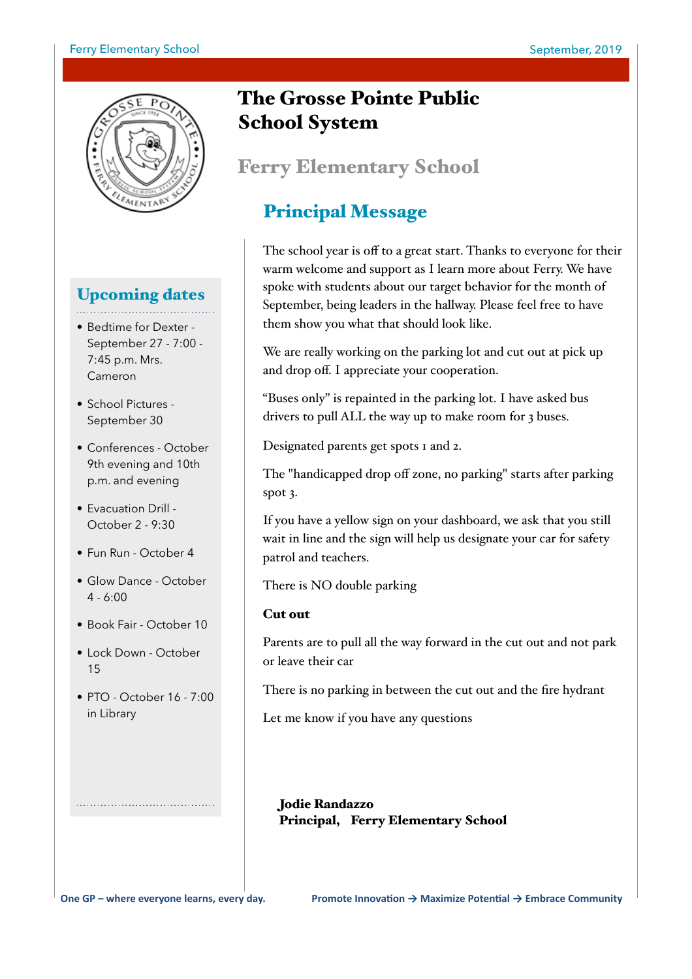#### Ferry Elementary School and The September, 2019



## Upcoming dates

- Bedtime for Dexter September 27 - 7:00 - 7:45 p.m. Mrs. Cameron
- School Pictures September 30
- Conferences October 9th evening and 10th p.m. and evening
- Evacuation Drill October 2 - 9:30
- Fun Run October 4
- Glow Dance October 4 - 6:00
- Book Fair October 10
- Lock Down October 15
- PTO October 16 7:00 in Library

# The Grosse Pointe Public School System

# Ferry Elementary School

# Principal Message

 The school year is off to a great start. Thanks to everyone for their warm welcome and support as I learn more about Ferry. We have spoke with students about our target behavior for the month of September, being leaders in the hallway. Please feel free to have them show you what that should look like.

We are really working on the parking lot and cut out at pick up and drop off. I appreciate your cooperation.

"Buses only" is repainted in the parking lot. I have asked bus drivers to pull ALL the way up to make room for 3 buses.

Designated parents get spots 1 and 2.

The "handicapped drop off zone, no parking" starts after parking spot 3.

If you have a yellow sign on your dashboard, we ask that you still wait in line and the sign will help us designate your car for safety patrol and teachers.

There is NO double parking

#### Cut out

Parents are to pull all the way forward in the cut out and not park or leave their car

There is no parking in between the cut out and the fire hydrant

Let me know if you have any questions

 Jodie Randazzo Principal, Ferry Elementary School